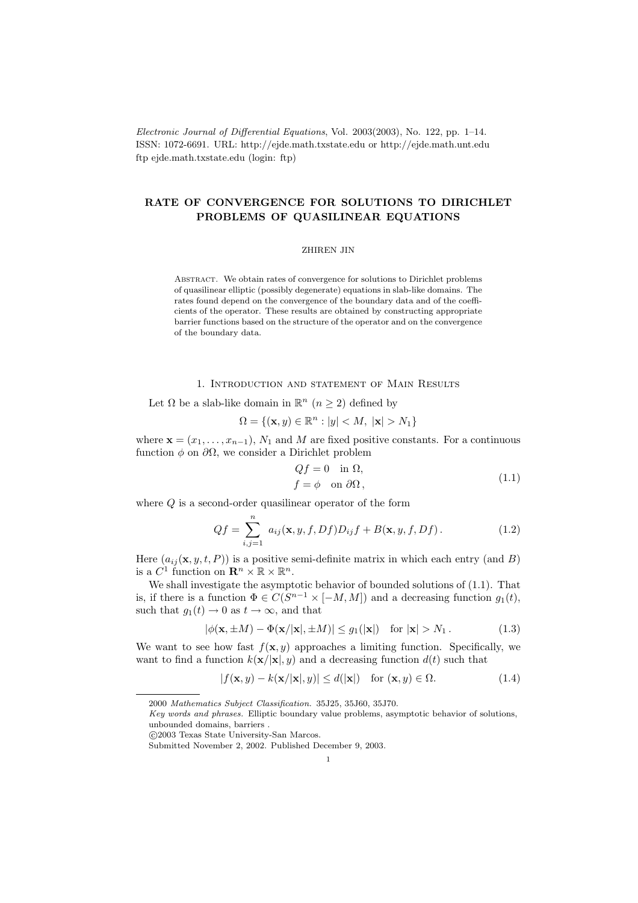Electronic Journal of Differential Equations, Vol. 2003(2003), No. 122, pp. 1–14. ISSN: 1072-6691. URL: http://ejde.math.txstate.edu or http://ejde.math.unt.edu ftp ejde.math.txstate.edu (login: ftp)

# RATE OF CONVERGENCE FOR SOLUTIONS TO DIRICHLET PROBLEMS OF QUASILINEAR EQUATIONS

#### ZHIREN JIN

Abstract. We obtain rates of convergence for solutions to Dirichlet problems of quasilinear elliptic (possibly degenerate) equations in slab-like domains. The rates found depend on the convergence of the boundary data and of the coefficients of the operator. These results are obtained by constructing appropriate barrier functions based on the structure of the operator and on the convergence of the boundary data.

# 1. Introduction and statement of Main Results

Let  $\Omega$  be a slab-like domain in  $\mathbb{R}^n$   $(n \geq 2)$  defined by

$$
\Omega = \{ (\mathbf{x}, y) \in \mathbb{R}^n : |y| < M, \ |\mathbf{x}| > N_1 \}
$$

where  $\mathbf{x} = (x_1, \ldots, x_{n-1}), N_1$  and M are fixed positive constants. For a continuous function  $\phi$  on  $\partial\Omega$ , we consider a Dirichlet problem

$$
Qf = 0 \quad \text{in } \Omega,
$$
  
\n
$$
f = \phi \quad \text{on } \partial\Omega,
$$
\n(1.1)

where  $Q$  is a second-order quasilinear operator of the form

$$
Qf = \sum_{i,j=1}^{n} a_{ij}(\mathbf{x}, y, f, Df)D_{ij}f + B(\mathbf{x}, y, f, Df).
$$
 (1.2)

Here  $(a_{ij}(\mathbf{x}, y, t, P))$  is a positive semi-definite matrix in which each entry (and B) is a  $C^1$  function on  $\mathbf{R}^n \times \mathbb{R} \times \mathbb{R}^n$ .

We shall investigate the asymptotic behavior of bounded solutions of (1.1). That is, if there is a function  $\Phi \in C(S^{n-1} \times [-M, M])$  and a decreasing function  $g_1(t)$ , such that  $g_1(t) \to 0$  as  $t \to \infty$ , and that

$$
|\phi(\mathbf{x}, \pm M) - \Phi(\mathbf{x}/|\mathbf{x}|, \pm M)| \le g_1(|\mathbf{x}|) \quad \text{for } |\mathbf{x}| > N_1. \tag{1.3}
$$

We want to see how fast  $f(\mathbf{x}, y)$  approaches a limiting function. Specifically, we want to find a function  $k(\mathbf{x}/|\mathbf{x}|, y)$  and a decreasing function  $d(t)$  such that

$$
|f(\mathbf{x}, y) - k(\mathbf{x}/|\mathbf{x}|, y)| \le d(|\mathbf{x}|) \quad \text{for } (\mathbf{x}, y) \in \Omega.
$$
 (1.4)

<sup>2000</sup> Mathematics Subject Classification. 35J25, 35J60, 35J70.

Key words and phrases. Elliptic boundary value problems, asymptotic behavior of solutions, unbounded domains, barriers .

c 2003 Texas State University-San Marcos.

Submitted November 2, 2002. Published December 9, 2003.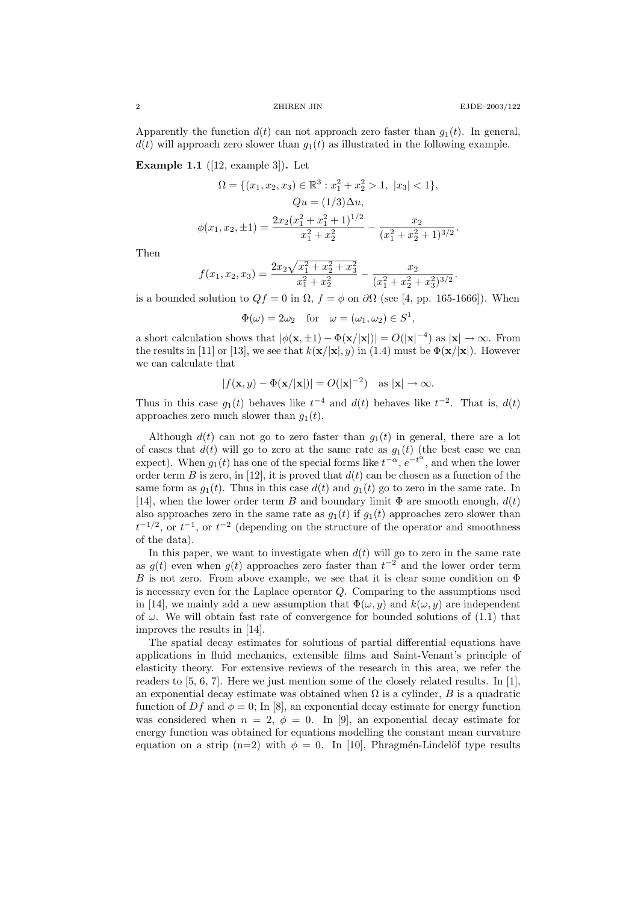.

.

Apparently the function  $d(t)$  can not approach zero faster than  $g_1(t)$ . In general,  $d(t)$  will approach zero slower than  $g_1(t)$  as illustrated in the following example.

**Example 1.1** ([12, example 3]). Let

$$
\Omega = \{ (x_1, x_2, x_3) \in \mathbb{R}^3 : x_1^2 + x_2^2 > 1, \ |x_3| < 1 \},
$$
  
\n
$$
Qu = (1/3)\Delta u,
$$
  
\n
$$
\phi(x_1, x_2, \pm 1) = \frac{2x_2(x_1^2 + x_1^2 + 1)^{1/2}}{x_1^2 + x_2^2} - \frac{x_2}{(x_1^2 + x_2^2 + 1)^{3/2}}
$$

Then

$$
f(x_1, x_2, x_3) = \frac{2x_2\sqrt{x_1^2 + x_2^2 + x_3^2}}{x_1^2 + x_2^2} - \frac{x_2}{(x_1^2 + x_2^2 + x_3^2)^{3/2}}
$$

is a bounded solution to  $Qf = 0$  in  $\Omega$ ,  $f = \phi$  on  $\partial\Omega$  (see [4, pp. 165-1666]). When

$$
\Phi(\omega) = 2\omega_2
$$
 for  $\omega = (\omega_1, \omega_2) \in S^1$ ,

a short calculation shows that  $|\phi(\mathbf{x}, \pm 1) - \Phi(\mathbf{x}/|\mathbf{x}|)| = O(|\mathbf{x}|^{-4})$  as  $|\mathbf{x}| \to \infty$ . From the results in [11] or [13], we see that  $k(\mathbf{x}/|\mathbf{x}|, y)$  in (1.4) must be  $\Phi(\mathbf{x}/|\mathbf{x}|)$ . However we can calculate that

$$
|f(\mathbf{x}, y) - \Phi(\mathbf{x}/|\mathbf{x}|)| = O(|\mathbf{x}|^{-2}) \quad \text{as } |\mathbf{x}| \to \infty.
$$

Thus in this case  $g_1(t)$  behaves like  $t^{-4}$  and  $d(t)$  behaves like  $t^{-2}$ . That is,  $d(t)$ approaches zero much slower than  $g_1(t)$ .

Although  $d(t)$  can not go to zero faster than  $g_1(t)$  in general, there are a lot of cases that  $d(t)$  will go to zero at the same rate as  $g_1(t)$  (the best case we can expect). When  $g_1(t)$  has one of the special forms like  $t^{-\alpha}$ ,  $e^{-t^{\alpha}}$ , and when the lower order term B is zero, in [12], it is proved that  $d(t)$  can be chosen as a function of the same form as  $g_1(t)$ . Thus in this case  $d(t)$  and  $g_1(t)$  go to zero in the same rate. In [14], when the lower order term B and boundary limit  $\Phi$  are smooth enough,  $d(t)$ also approaches zero in the same rate as  $g_1(t)$  if  $g_1(t)$  approaches zero slower than  $t^{-1/2}$ , or  $t^{-1}$ , or  $t^{-2}$  (depending on the structure of the operator and smoothness of the data).

In this paper, we want to investigate when  $d(t)$  will go to zero in the same rate as  $g(t)$  even when  $g(t)$  approaches zero faster than  $t^{-2}$  and the lower order term B is not zero. From above example, we see that it is clear some condition on  $\Phi$ is necessary even for the Laplace operator  $Q$ . Comparing to the assumptions used in [14], we mainly add a new assumption that  $\Phi(\omega, y)$  and  $k(\omega, y)$  are independent of  $\omega$ . We will obtain fast rate of convergence for bounded solutions of (1.1) that improves the results in [14].

The spatial decay estimates for solutions of partial differential equations have applications in fluid mechanics, extensible films and Saint-Venant's principle of elasticity theory. For extensive reviews of the research in this area, we refer the readers to  $[5, 6, 7]$ . Here we just mention some of the closely related results. In [1], an exponential decay estimate was obtained when  $\Omega$  is a cylinder, B is a quadratic function of  $Df$  and  $\phi = 0$ ; In [8], an exponential decay estimate for energy function was considered when  $n = 2$ ,  $\phi = 0$ . In [9], an exponential decay estimate for energy function was obtained for equations modelling the constant mean curvature equation on a strip (n=2) with  $\phi = 0$ . In [10], Phragmén-Lindelöf type results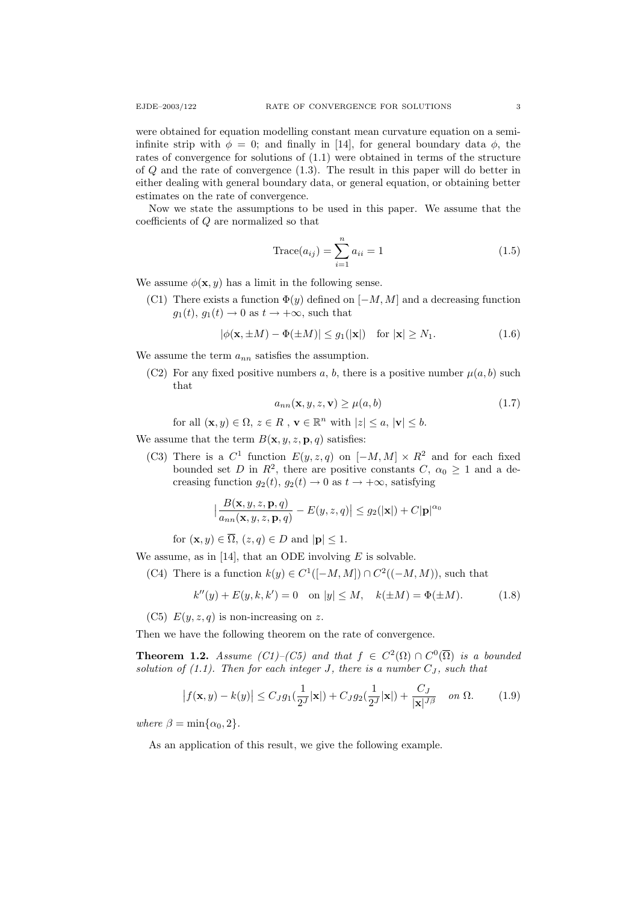were obtained for equation modelling constant mean curvature equation on a semiinfinite strip with  $\phi = 0$ ; and finally in [14], for general boundary data  $\phi$ , the rates of convergence for solutions of (1.1) were obtained in terms of the structure of Q and the rate of convergence (1.3). The result in this paper will do better in either dealing with general boundary data, or general equation, or obtaining better estimates on the rate of convergence.

Now we state the assumptions to be used in this paper. We assume that the coefficients of Q are normalized so that

$$
Trace(a_{ij}) = \sum_{i=1}^{n} a_{ii} = 1
$$
\n(1.5)

We assume  $\phi(\mathbf{x}, y)$  has a limit in the following sense.

(C1) There exists a function  $\Phi(y)$  defined on  $[-M, M]$  and a decreasing function  $g_1(t), g_1(t) \to 0$  as  $t \to +\infty$ , such that

$$
|\phi(\mathbf{x}, \pm M) - \Phi(\pm M)| \le g_1(|\mathbf{x}|) \quad \text{for } |\mathbf{x}| \ge N_1. \tag{1.6}
$$

We assume the term  $a_{nn}$  satisfies the assumption.

(C2) For any fixed positive numbers a, b, there is a positive number  $\mu(a, b)$  such that

$$
a_{nn}(\mathbf{x}, y, z, \mathbf{v}) \ge \mu(a, b) \tag{1.7}
$$

for all  $(\mathbf{x}, y) \in \Omega$ ,  $z \in R$ ,  $\mathbf{v} \in \mathbb{R}^n$  with  $|z| \leq a$ ,  $|\mathbf{v}| \leq b$ .

We assume that the term  $B(\mathbf{x}, y, z, \mathbf{p}, q)$  satisfies:

(C3) There is a  $C^1$  function  $E(y, z, q)$  on  $[-M, M] \times R^2$  and for each fixed bounded set D in  $R^2$ , there are positive constants  $C, \alpha_0 \geq 1$  and a decreasing function  $g_2(t)$ ,  $g_2(t) \rightarrow 0$  as  $t \rightarrow +\infty$ , satisfying

$$
\left|\frac{B(\mathbf{x}, y, z, \mathbf{p}, q)}{a_{nn}(\mathbf{x}, y, z, \mathbf{p}, q)} - E(y, z, q)\right| \le g_2(|\mathbf{x}|) + C|\mathbf{p}|^{\alpha_0}
$$

for  $(\mathbf{x}, y) \in \overline{\Omega}$ ,  $(z, q) \in D$  and  $|\mathbf{p}| \leq 1$ .

We assume, as in [14], that an ODE involving  $E$  is solvable.

(C4) There is a function  $k(y) \in C^1([-M,M]) \cap C^2((-M,M))$ , such that

$$
k''(y) + E(y, k, k') = 0
$$
 on  $|y| \le M$ ,  $k(\pm M) = \Phi(\pm M)$ . (1.8)

(C5)  $E(y, z, q)$  is non-increasing on z.

Then we have the following theorem on the rate of convergence.

**Theorem 1.2.** Assume (C1)–(C5) and that  $f \in C^2(\Omega) \cap C^0(\overline{\Omega})$  is a bounded solution of  $(1.1)$ . Then for each integer J, there is a number  $C_J$ , such that

$$
\left|f(\mathbf{x},y) - k(y)\right| \le C_J g_1\left(\frac{1}{2^J}|\mathbf{x}|\right) + C_J g_2\left(\frac{1}{2^J}|\mathbf{x}|\right) + \frac{C_J}{|\mathbf{x}|^{J\beta}} \quad \text{on } \Omega. \tag{1.9}
$$

where  $\beta = \min\{\alpha_0, 2\}.$ 

As an application of this result, we give the following example.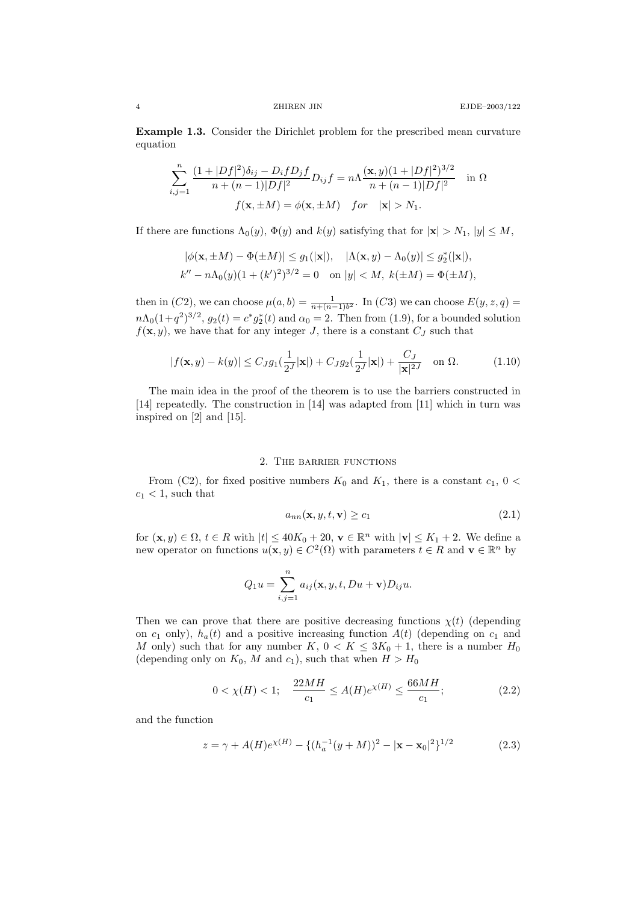Example 1.3. Consider the Dirichlet problem for the prescribed mean curvature equation

$$
\sum_{i,j=1}^{n} \frac{(1+|Df|^2)\delta_{ij} - D_i f D_j f}{n + (n-1)|Df|^2} D_{ij} f = n \Lambda \frac{(\mathbf{x}, y)(1+|Df|^2)^{3/2}}{n + (n-1)|Df|^2} \quad \text{in } \Omega
$$
  

$$
f(\mathbf{x}, \pm M) = \phi(\mathbf{x}, \pm M) \quad \text{for} \quad |\mathbf{x}| > N_1.
$$

If there are functions  $\Lambda_0(y)$ ,  $\Phi(y)$  and  $k(y)$  satisfying that for  $|\mathbf{x}| > N_1$ ,  $|y| \leq M$ ,

$$
|\phi(\mathbf{x}, \pm M) - \Phi(\pm M)| \le g_1(|\mathbf{x}|), \quad |\Lambda(\mathbf{x}, y) - \Lambda_0(y)| \le g_2^*(|\mathbf{x}|),
$$
  

$$
k'' - n\Lambda_0(y)(1 + (k')^2)^{3/2} = 0 \quad \text{on } |y| < M, \ k(\pm M) = \Phi(\pm M),
$$

then in (C2), we can choose  $\mu(a, b) = \frac{1}{n + (n-1)b^2}$ . In (C3) we can choose  $E(y, z, q) =$  $n\Lambda_0(1+q^2)^{3/2}$ ,  $g_2(t) = c^*g_2^*(t)$  and  $\alpha_0 = 2$ . Then from (1.9), for a bounded solution  $f(\mathbf{x}, y)$ , we have that for any integer J, there is a constant  $C_J$  such that

$$
|f(\mathbf{x}, y) - k(y)| \le C_J g_1(\frac{1}{2^J}|\mathbf{x}|) + C_J g_2(\frac{1}{2^J}|\mathbf{x}|) + \frac{C_J}{|\mathbf{x}|^{2J}} \quad \text{on } \Omega.
$$
 (1.10)

The main idea in the proof of the theorem is to use the barriers constructed in [14] repeatedly. The construction in [14] was adapted from [11] which in turn was inspired on [2] and [15].

### 2. The barrier functions

From (C2), for fixed positive numbers  $K_0$  and  $K_1$ , there is a constant  $c_1$ ,  $0 <$  $c_1 < 1$ , such that

$$
a_{nn}(\mathbf{x}, y, t, \mathbf{v}) \ge c_1 \tag{2.1}
$$

for  $(\mathbf{x}, y) \in \Omega$ ,  $t \in R$  with  $|t| \leq 40K_0 + 20$ ,  $\mathbf{v} \in \mathbb{R}^n$  with  $|\mathbf{v}| \leq K_1 + 2$ . We define a new operator on functions  $u(\mathbf{x}, y) \in C^2(\Omega)$  with parameters  $t \in \mathbb{R}$  and  $\mathbf{v} \in \mathbb{R}^n$  by

$$
Q_1 u = \sum_{i,j=1}^n a_{ij}(\mathbf{x}, y, t, Du + \mathbf{v}) D_{ij} u.
$$

Then we can prove that there are positive decreasing functions  $\chi(t)$  (depending on  $c_1$  only),  $h_a(t)$  and a positive increasing function  $A(t)$  (depending on  $c_1$  and M only) such that for any number  $K, 0 < K \leq 3K_0 + 1$ , there is a number  $H_0$ (depending only on  $K_0$ , M and  $c_1$ ), such that when  $H > H_0$ 

$$
0 < \chi(H) < 1; \quad \frac{22MH}{c_1} \le A(H)e^{\chi(H)} \le \frac{66MH}{c_1};\tag{2.2}
$$

and the function

$$
z = \gamma + A(H)e^{\chi(H)} - \{ (h_a^{-1}(y+M))^2 - |\mathbf{x} - \mathbf{x}_0|^2 \}^{1/2}
$$
 (2.3)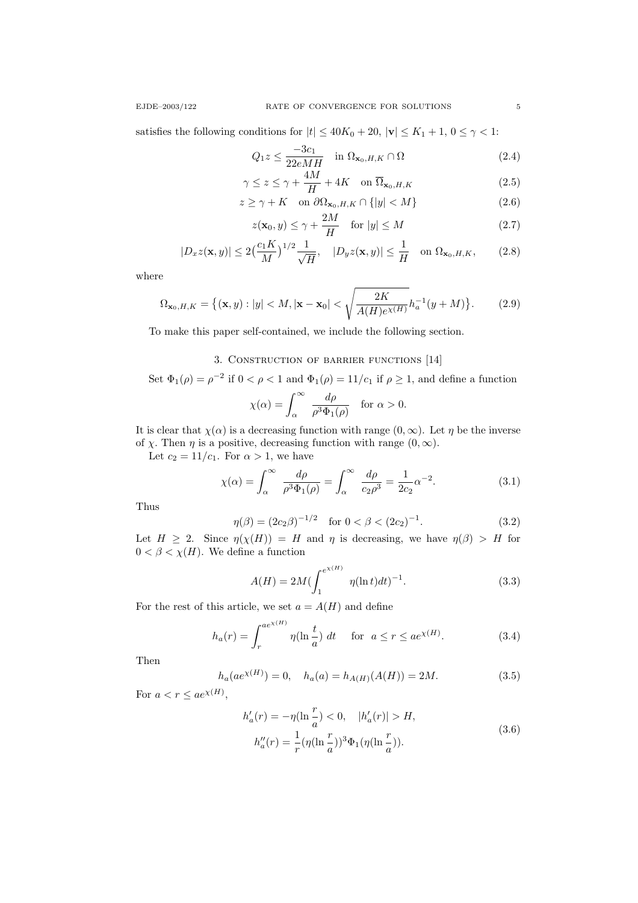satisfies the following conditions for  $|t| \leq 40K_0 + 20$ ,  $|v| \leq K_1 + 1$ ,  $0 \leq \gamma < 1$ :

$$
Q_1 z \le \frac{-3c_1}{22eMH} \quad \text{in } \Omega_{\mathbf{x}_0, H, K} \cap \Omega \tag{2.4}
$$

$$
\gamma \le z \le \gamma + \frac{4M}{H} + 4K \quad \text{on } \overline{\Omega}_{\mathbf{x}_0, H, K}
$$
\n(2.5)

$$
z \ge \gamma + K \quad \text{on } \partial \Omega_{\mathbf{x}_0, H, K} \cap \{|y| < M\} \tag{2.6}
$$

$$
z(\mathbf{x}_0, y) \le \gamma + \frac{2M}{H} \quad \text{for } |y| \le M \tag{2.7}
$$

$$
|D_x z(\mathbf{x}, y)| \le 2\left(\frac{c_1 K}{M}\right)^{1/2} \frac{1}{\sqrt{H}}, \quad |D_y z(\mathbf{x}, y)| \le \frac{1}{H} \quad \text{on } \Omega_{\mathbf{x}_0, H, K},\tag{2.8}
$$

where

$$
\Omega_{\mathbf{x}_0, H, K} = \{ (\mathbf{x}, y) : |y| < M, |\mathbf{x} - \mathbf{x}_0| < \sqrt{\frac{2K}{A(H)e^{\chi(H)}}} h_a^{-1}(y + M) \}.
$$
\n(2.9)

To make this paper self-contained, we include the following section.

# 3. Construction of barrier functions [14]

Set  $\Phi_1(\rho) = \rho^{-2}$  if  $0 < \rho < 1$  and  $\Phi_1(\rho) = 11/c_1$  if  $\rho \ge 1$ , and define a function

$$
\chi(\alpha) = \int_{\alpha}^{\infty} \frac{d\rho}{\rho^3 \Phi_1(\rho)} \quad \text{for } \alpha > 0.
$$

It is clear that  $\chi(\alpha)$  is a decreasing function with range  $(0, \infty)$ . Let  $\eta$  be the inverse of  $\chi$ . Then  $\eta$  is a positive, decreasing function with range  $(0,\infty)$ .

Let  $c_2 = 11/c_1$ . For  $\alpha > 1$ , we have

$$
\chi(\alpha) = \int_{\alpha}^{\infty} \frac{d\rho}{\rho^3 \Phi_1(\rho)} = \int_{\alpha}^{\infty} \frac{d\rho}{c_2 \rho^3} = \frac{1}{2c_2} \alpha^{-2}.
$$
 (3.1)

Thus

$$
\eta(\beta) = (2c_2\beta)^{-1/2} \quad \text{for } 0 < \beta < (2c_2)^{-1}.\tag{3.2}
$$

Let  $H \geq 2$ . Since  $\eta(\chi(H)) = H$  and  $\eta$  is decreasing, we have  $\eta(\beta) > H$  for  $0 < \beta < \chi(H)$ . We define a function

$$
A(H) = 2M \left(\int_{1}^{e^{\chi(H)}} \eta(\ln t) dt\right)^{-1}.
$$
 (3.3)

For the rest of this article, we set  $a = A(H)$  and define

$$
h_a(r) = \int_r^{ae^{\chi(H)}} \eta(\ln\frac{t}{a}) dt \quad \text{for } a \le r \le ae^{\chi(H)}.
$$
 (3.4)

Then

$$
h_a(ae^{\chi(H)}) = 0, \quad h_a(a) = h_{A(H)}(A(H)) = 2M.
$$
\n(3.5)

For  $a < r \leq a e^{\chi(H)}$ ,

$$
h'_a(r) = -\eta(\ln\frac{r}{a}) < 0, \quad |h'_a(r)| > H,
$$
  

$$
h''_a(r) = \frac{1}{r}(\eta(\ln\frac{r}{a}))^3\Phi_1(\eta(\ln\frac{r}{a})).
$$
 (3.6)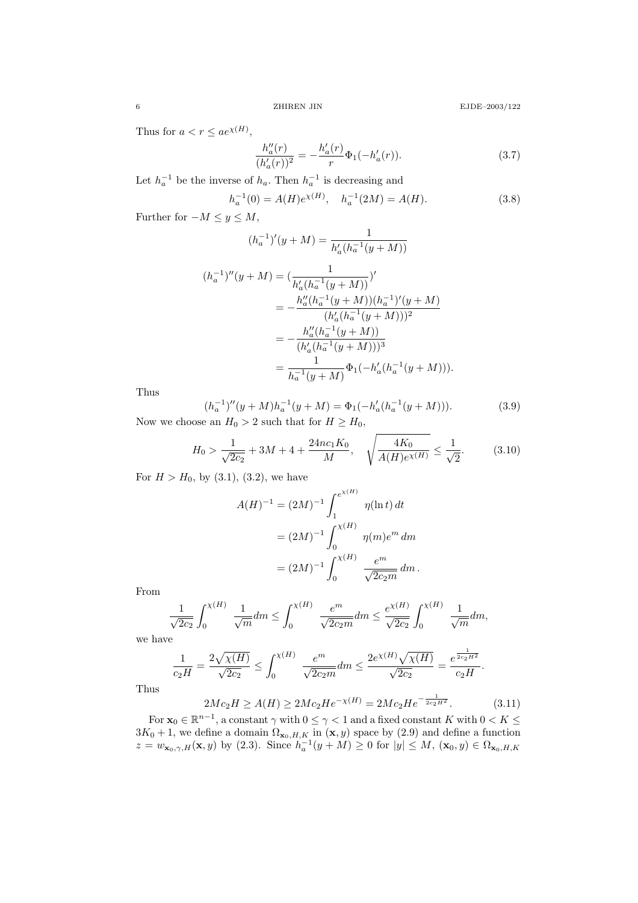Thus for  $a < r \leq ae^{\chi(H)}$ ,

$$
\frac{h''_a(r)}{(h'_a(r))^2} = -\frac{h'_a(r)}{r} \Phi_1(-h'_a(r)).
$$
\n(3.7)

Let  $h_a^{-1}$  be the inverse of  $h_a$ . Then  $h_a^{-1}$  is decreasing and

$$
h_a^{-1}(0) = A(H)e^{\chi(H)}, \quad h_a^{-1}(2M) = A(H). \tag{3.8}
$$

Further for  $-M \leq y \leq M$ ,

$$
(h_a^{-1})'(y+M) = \frac{1}{h'_a(h_a^{-1}(y+M))}
$$

$$
(h_a^{-1})''(y+M) = \left(\frac{1}{h'_a(h_a^{-1}(y+M))}\right)'
$$
  
= 
$$
-\frac{h''_a(h_a^{-1}(y+M))(h_a^{-1})'(y+M)}{(h'_a(h_a^{-1}(y+M)))^2}
$$
  
= 
$$
-\frac{h''_a(h_a^{-1}(y+M))}{(h'_a(h_a^{-1}(y+M)))^3}
$$
  
= 
$$
\frac{1}{h_a^{-1}(y+M)}\Phi_1(-h'_a(h_a^{-1}(y+M))).
$$

Thus

$$
(h_a^{-1})''(y+M)h_a^{-1}(y+M) = \Phi_1(-h'_a(h_a^{-1}(y+M))).
$$
\n(3.9)

Now we choose an  $H_0>2$  such that for  $H\geq H_0,$ 

$$
H_0 > \frac{1}{\sqrt{2c_2}} + 3M + 4 + \frac{24nc_1K_0}{M}, \quad \sqrt{\frac{4K_0}{A(H)e^{\chi(H)}}} \le \frac{1}{\sqrt{2}}.
$$
 (3.10)

For  $H > H_0$ , by (3.1), (3.2), we have

$$
A(H)^{-1} = (2M)^{-1} \int_{1}^{e^{\chi(H)}} \eta(\ln t) dt
$$
  
=  $(2M)^{-1} \int_{0}^{\chi(H)} \eta(m)e^m dm$   
=  $(2M)^{-1} \int_{0}^{\chi(H)} \frac{e^m}{\sqrt{2c_2m}} dm.$ 

From

$$
\frac{1}{\sqrt{2c_2}} \int_0^{\chi(H)} \frac{1}{\sqrt{m}} dm \le \int_0^{\chi(H)} \frac{e^m}{\sqrt{2c_2m}} dm \le \frac{e^{\chi(H)}}{\sqrt{2c_2}} \int_0^{\chi(H)} \frac{1}{\sqrt{m}} dm,
$$

we have

$$
\frac{1}{c_2H} = \frac{2\sqrt{\chi(H)}}{\sqrt{2c_2}} \le \int_0^{\chi(H)} \frac{e^m}{\sqrt{2c_2m}} dm \le \frac{2e^{\chi(H)}\sqrt{\chi(H)}}{\sqrt{2c_2}} = \frac{e^{\frac{1}{2c_2H^2}}}{c_2H}.
$$

Thus

$$
2Mc_2H \ge A(H) \ge 2Mc_2He^{-\chi(H)} = 2Mc_2He^{-\frac{1}{2c_2H^2}}.
$$
\n(3.11)

For  $\mathbf{x}_0 \in \mathbb{R}^{n-1}$ , a constant  $\gamma$  with  $0 \leq \gamma < 1$  and a fixed constant K with  $0 < K \leq$  $3K_0 + 1$ , we define a domain  $\Omega_{\mathbf{x}_0, H, K}$  in  $(\mathbf{x}, y)$  space by  $(2.9)$  and define a function  $z = w_{\mathbf{x}_0, \gamma, H}(\mathbf{x}, y)$  by (2.3). Since  $h_a^{-1}(y + M) \ge 0$  for  $|y| \le M$ ,  $(\mathbf{x}_0, y) \in \Omega_{\mathbf{x}_0, H, K}$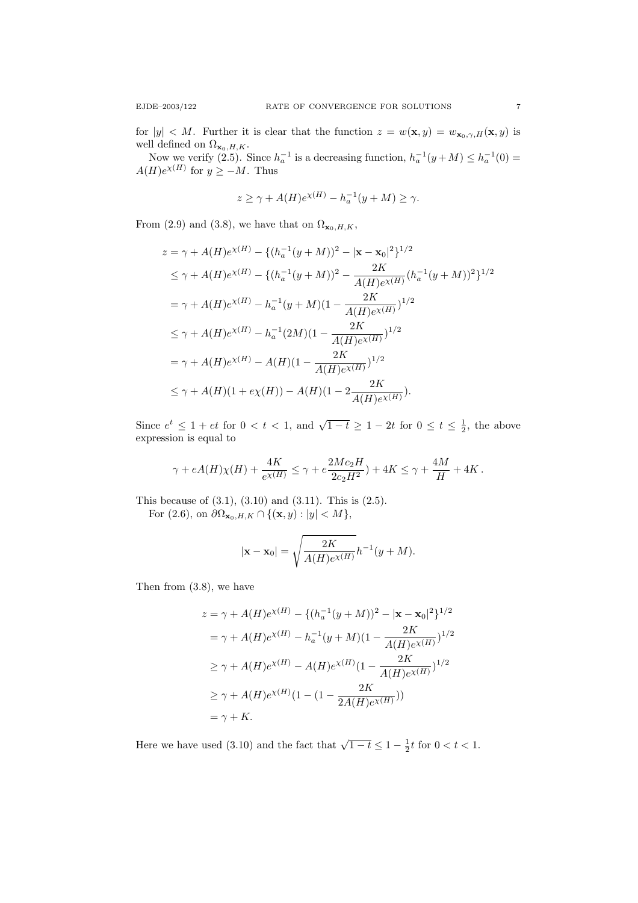for  $|y| < M$ . Further it is clear that the function  $z = w(\mathbf{x}, y) = w_{\mathbf{x}_0, \gamma, H}(\mathbf{x}, y)$  is well defined on  $\Omega_{\mathbf{x}_0,H,K}$ .

Now we verify (2.5). Since  $h_a^{-1}$  is a decreasing function,  $h_a^{-1}(y+M) \leq h_a^{-1}(0)$  =  $A(H)e^{\chi(H)}$  for  $y \geq -M$ . Thus

$$
z \ge \gamma + A(H)e^{\chi(H)} - h_a^{-1}(y + M) \ge \gamma.
$$

From (2.9) and (3.8), we have that on  $\Omega_{\mathbf{x}_0,H,K}$ ,

$$
z = \gamma + A(H)e^{\chi(H)} - \{(h_a^{-1}(y+M))^2 - |\mathbf{x} - \mathbf{x}_0|^2\}^{1/2}
$$
  
\n
$$
\leq \gamma + A(H)e^{\chi(H)} - \{(h_a^{-1}(y+M))^2 - \frac{2K}{A(H)e^{\chi(H)}}(h_a^{-1}(y+M))^2\}^{1/2}
$$
  
\n
$$
= \gamma + A(H)e^{\chi(H)} - h_a^{-1}(y+M)(1 - \frac{2K}{A(H)e^{\chi(H)}})^{1/2}
$$
  
\n
$$
\leq \gamma + A(H)e^{\chi(H)} - h_a^{-1}(2M)(1 - \frac{2K}{A(H)e^{\chi(H)}})^{1/2}
$$
  
\n
$$
= \gamma + A(H)e^{\chi(H)} - A(H)(1 - \frac{2K}{A(H)e^{\chi(H)}})^{1/2}
$$
  
\n
$$
\leq \gamma + A(H)(1 + e\chi(H)) - A(H)(1 - 2\frac{2K}{A(H)e^{\chi(H)}}).
$$

Since  $e^t \leq 1 + et$  for  $0 < t < 1$ , and  $\sqrt{1-t} \geq 1 - 2t$  for  $0 \leq t \leq \frac{1}{2}$ , the above expression is equal to

$$
\gamma + eA(H)\chi(H) + \frac{4K}{e^{\chi(H)}} \leq \gamma + e\frac{2Mc_2H}{2c_2H^2}) + 4K \leq \gamma + \frac{4M}{H} + 4K\,.
$$

This because of  $(3.1)$ ,  $(3.10)$  and  $(3.11)$ . This is  $(2.5)$ .

For (2.6), on  $\partial \Omega_{\mathbf{x}_0,H,K} \cap \{(\mathbf{x},y): |y| < M\},$ 

$$
|\mathbf{x} - \mathbf{x}_0| = \sqrt{\frac{2K}{A(H)e^{\chi(H)}}} h^{-1}(y + M).
$$

Then from (3.8), we have

$$
z = \gamma + A(H)e^{\chi(H)} - \{(h_a^{-1}(y+M))^2 - |\mathbf{x} - \mathbf{x}_0|^2\}^{1/2}
$$
  
=  $\gamma + A(H)e^{\chi(H)} - h_a^{-1}(y+M)(1 - \frac{2K}{A(H)e^{\chi(H)}})^{1/2}$   
 $\geq \gamma + A(H)e^{\chi(H)} - A(H)e^{\chi(H)}(1 - \frac{2K}{A(H)e^{\chi(H)}})^{1/2}$   
 $\geq \gamma + A(H)e^{\chi(H)}(1 - (1 - \frac{2K}{2A(H)e^{\chi(H)}}))$   
=  $\gamma + K$ .

Here we have used (3.10) and the fact that  $\sqrt{1-t} \leq 1 - \frac{1}{2}t$  for  $0 < t < 1$ .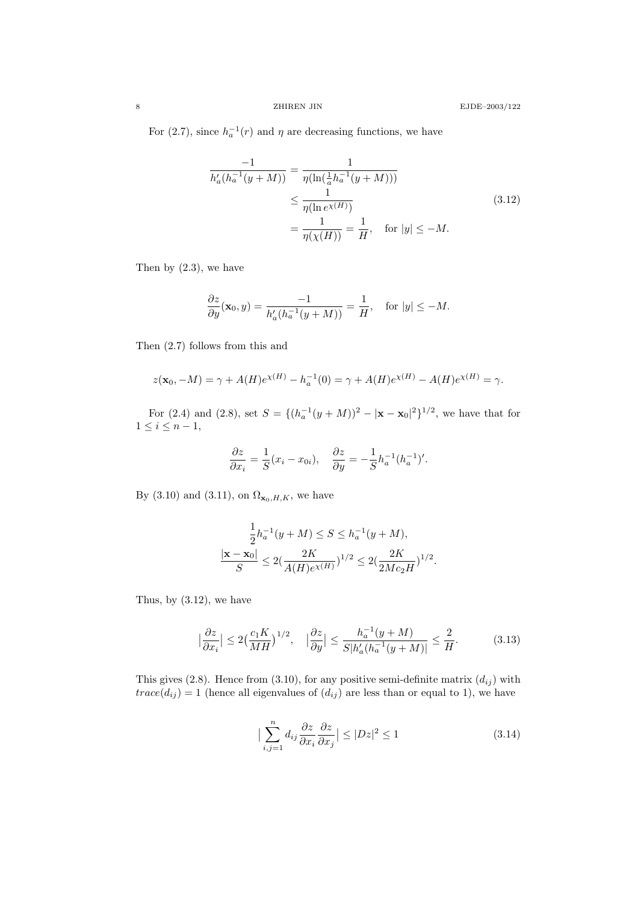For (2.7), since  $h_a^{-1}(r)$  and  $\eta$  are decreasing functions, we have

$$
\frac{-1}{h'_a(h_a^{-1}(y+M))} = \frac{1}{\eta(\ln(\frac{1}{a}h_a^{-1}(y+M)))}
$$
\n
$$
\leq \frac{1}{\eta(\ln e^{(\chi(H)})}
$$
\n
$$
= \frac{1}{\eta(\chi(H))} = \frac{1}{H}, \quad \text{for } |y| \leq -M.
$$
\n(3.12)

Then by  $(2.3)$ , we have

$$
\frac{\partial z}{\partial y}(\mathbf{x}_0, y) = \frac{-1}{h'_a(h_a^{-1}(y + M))} = \frac{1}{H}, \text{ for } |y| \le -M.
$$

Then (2.7) follows from this and

$$
z(\mathbf{x}_0, -M) = \gamma + A(H)e^{\chi(H)} - h_a^{-1}(0) = \gamma + A(H)e^{\chi(H)} - A(H)e^{\chi(H)} = \gamma.
$$

For (2.4) and (2.8), set  $S = \{(h_a^{-1}(y + M))^2 - |\mathbf{x} - \mathbf{x}_0|^2\}^{1/2}$ , we have that for  $1 \leq i \leq n-1$ ,

$$
\frac{\partial z}{\partial x_i} = \frac{1}{S}(x_i - x_{0i}), \quad \frac{\partial z}{\partial y} = -\frac{1}{S}h_a^{-1}(h_a^{-1})'.
$$

By (3.10) and (3.11), on  $\Omega_{\mathbf{x}_0, H, K}$ , we have

$$
\frac{\frac{1}{2}h_a^{-1}(y+M)\leq S\leq h_a^{-1}(y+M),}{S}\leq 2(\frac{2K}{A(H)e^{\chi(H)}})^{1/2}\leq 2(\frac{2K}{2Mc_2H})^{1/2}.
$$

Thus, by  $(3.12)$ , we have

$$
\left|\frac{\partial z}{\partial x_i}\right| \le 2\left(\frac{c_1 K}{MH}\right)^{1/2}, \quad \left|\frac{\partial z}{\partial y}\right| \le \frac{h_a^{-1}(y+M)}{S|h'_a(h_a^{-1}(y+M))} \le \frac{2}{H}.\tag{3.13}
$$

This gives (2.8). Hence from (3.10), for any positive semi-definite matrix  $(d_{ij})$  with  $trace(d_{ij}) = 1$  (hence all eigenvalues of  $(d_{ij})$  are less than or equal to 1), we have

$$
\left|\sum_{i,j=1}^{n} d_{ij} \frac{\partial z}{\partial x_i} \frac{\partial z}{\partial x_j}\right| \le |Dz|^2 \le 1
$$
\n(3.14)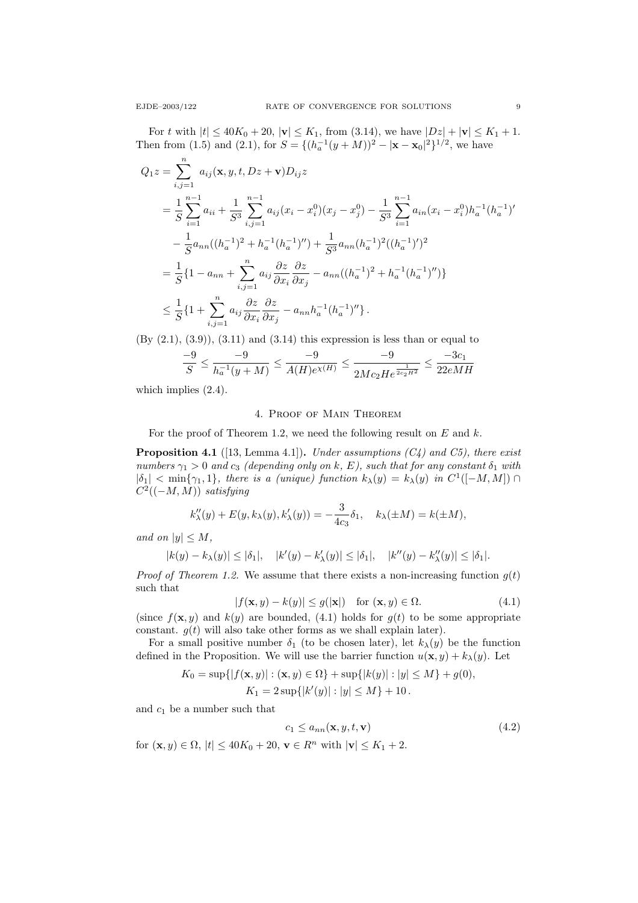For t with  $|t| \le 40K_0 + 20$ ,  $|v| \le K_1$ , from (3.14), we have  $|Dz| + |v| \le K_1 + 1$ . Then from (1.5) and (2.1), for  $S = \{ (h_a^{-1}(y + M))^2 - |\mathbf{x} - \mathbf{x}_0|^2 \}^{1/2}$ , we have

$$
Q_{1}z = \sum_{i,j=1}^{n} a_{ij}(\mathbf{x}, y, t, Dz + \mathbf{v})D_{ij}z
$$
  
\n
$$
= \frac{1}{S} \sum_{i=1}^{n-1} a_{ii} + \frac{1}{S^{3}} \sum_{i,j=1}^{n-1} a_{ij}(x_{i} - x_{i}^{0})(x_{j} - x_{j}^{0}) - \frac{1}{S^{3}} \sum_{i=1}^{n-1} a_{in}(x_{i} - x_{i}^{0})h_{a}^{-1}(h_{a}^{-1})'
$$
  
\n
$$
- \frac{1}{S}a_{nn}((h_{a}^{-1})^{2} + h_{a}^{-1}(h_{a}^{-1})'') + \frac{1}{S^{3}}a_{nn}(h_{a}^{-1})^{2}((h_{a}^{-1})')^{2}
$$
  
\n
$$
= \frac{1}{S} \{1 - a_{nn} + \sum_{i,j=1}^{n} a_{ij} \frac{\partial z}{\partial x_{i}} \frac{\partial z}{\partial x_{j}} - a_{nn}((h_{a}^{-1})^{2} + h_{a}^{-1}(h_{a}^{-1})'')\}
$$
  
\n
$$
\leq \frac{1}{S} \{1 + \sum_{i,j=1}^{n} a_{ij} \frac{\partial z}{\partial x_{i}} \frac{\partial z}{\partial x_{j}} - a_{nn}h_{a}^{-1}(h_{a}^{-1})''\}.
$$

 $(By (2.1), (3.9)), (3.11)$  and  $(3.14)$  this expression is less than or equal to

$$
\frac{-9}{S}\leq \frac{-9}{h_a^{-1}(y+M)}\leq \frac{-9}{A(H)e^{\chi(H)}}\leq \frac{-9}{2Mc_2He^{\frac{1}{2c_2H^2}}}\leq \frac{-3c_1}{22eMH}
$$

which implies  $(2.4)$ .

## 4. Proof of Main Theorem

For the proof of Theorem 1.2, we need the following result on  $E$  and  $k$ .

**Proposition 4.1** ([13, Lemma 4.1]). Under assumptions  $(C_4)$  and  $C_5$ ), there exist numbers  $\gamma_1 > 0$  and  $c_3$  (depending only on k, E), such that for any constant  $\delta_1$  with  $|\delta_1| < \min\{\gamma_1, 1\}$ , there is a (unique) function  $k_\lambda(y) = k_\lambda(y)$  in  $C^1([-M, M]) \cap$  $C^2((-M, M))$  satisfying

$$
k''_{\lambda}(y) + E(y, k_{\lambda}(y), k'_{\lambda}(y)) = -\frac{3}{4c_3}\delta_1, \quad k_{\lambda}(\pm M) = k(\pm M),
$$

and on  $|y| \leq M$ ,

$$
|k(y) - k_{\lambda}(y)| \leq |\delta_1|, \quad |k'(y) - k'_{\lambda}(y)| \leq |\delta_1|, \quad |k''(y) - k''_{\lambda}(y)| \leq |\delta_1|.
$$

*Proof of Theorem 1.2.* We assume that there exists a non-increasing function  $g(t)$ such that

$$
|f(\mathbf{x}, y) - k(y)| \le g(|\mathbf{x}|) \quad \text{for } (\mathbf{x}, y) \in \Omega.
$$
 (4.1)

(since  $f(\mathbf{x}, y)$  and  $k(y)$  are bounded, (4.1) holds for  $g(t)$  to be some appropriate constant.  $g(t)$  will also take other forms as we shall explain later).

For a small positive number  $\delta_1$  (to be chosen later), let  $k_\lambda(y)$  be the function defined in the Proposition. We will use the barrier function  $u(\mathbf{x}, y) + k_\lambda(y)$ . Let

$$
K_0 = \sup\{|f(\mathbf{x}, y)| : (\mathbf{x}, y) \in \Omega\} + \sup\{|k(y)| : |y| \le M\} + g(0),
$$
  

$$
K_1 = 2 \sup\{|k'(y)| : |y| \le M\} + 10.
$$

and  $c_1$  be a number such that

for  $(\mathbf{x}, y) \in \Omega$ ,  $|t| \leq 40K_0 + 20$ .

$$
c_1 \le a_{nn}(\mathbf{x}, y, t, \mathbf{v})
$$
  
\n
$$
\mathbf{v} \in R^n \text{ with } |\mathbf{v}| \le K_1 + 2.
$$
 (4.2)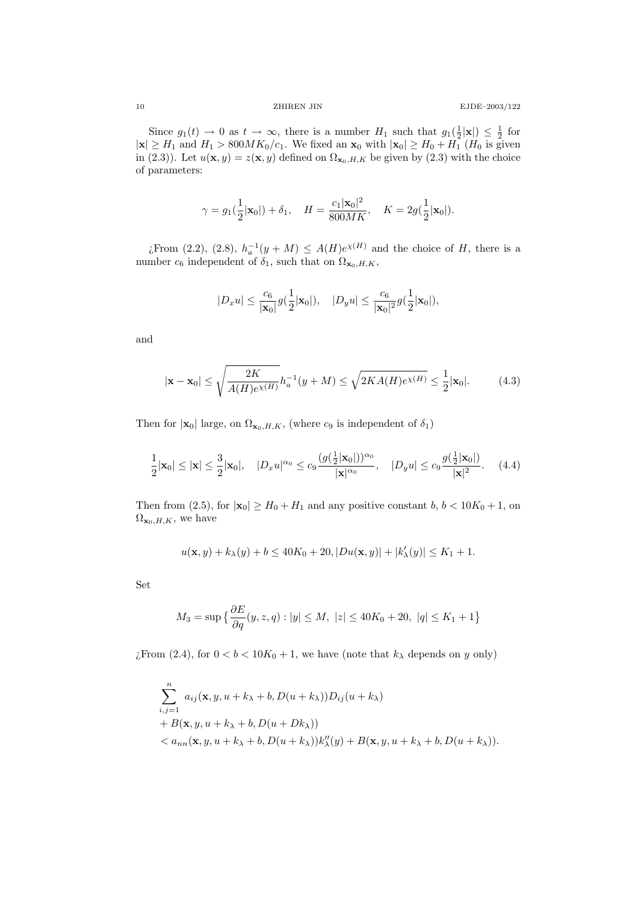Since  $g_1(t) \to 0$  as  $t \to \infty$ , there is a number  $H_1$  such that  $g_1(\frac{1}{2}|\mathbf{x}|) \leq \frac{1}{2}$  for  $|\mathbf{x}| \geq H_1$  and  $H_1 > 800MK_0/c_1$ . We fixed an  $\mathbf{x}_0$  with  $|\mathbf{x}_0| \geq H_0 + H_1$  ( $H_0$  is given in (2.3)). Let  $u(\mathbf{x}, y) = z(\mathbf{x}, y)$  defined on  $\Omega_{\mathbf{x}_0, H, K}$  be given by (2.3) with the choice of parameters:

$$
\gamma = g_1(\frac{1}{2}|\mathbf{x}_0|) + \delta_1, \quad H = \frac{c_1|\mathbf{x}_0|^2}{800MK}, \quad K = 2g(\frac{1}{2}|\mathbf{x}_0|).
$$

¿From (2.2), (2.8),  $h_a^{-1}(y+M) \leq A(H)e^{\chi(H)}$  and the choice of H, there is a number  $c_6$  independent of  $\delta_1$ , such that on  $\Omega_{\mathbf{x}_0,H,K}$ ,

$$
|D_x u| \leq \frac{c_6}{|\mathbf{x}_0|} g(\frac{1}{2}|\mathbf{x}_0|), \quad |D_y u| \leq \frac{c_6}{|\mathbf{x}_0|^2} g(\frac{1}{2}|\mathbf{x}_0|),
$$

and

$$
|\mathbf{x} - \mathbf{x}_0| \le \sqrt{\frac{2K}{A(H)e^{\chi(H)}}} h_a^{-1}(y + M) \le \sqrt{2KA(H)e^{\chi(H)}} \le \frac{1}{2} |\mathbf{x}_0|. \tag{4.3}
$$

Then for  $|\mathbf{x}_0|$  large, on  $\Omega_{\mathbf{x}_0,H,K}$ , (where  $c_9$  is independent of  $\delta_1$ )

$$
\frac{1}{2}|\mathbf{x}_0| \le |\mathbf{x}| \le \frac{3}{2}|\mathbf{x}_0|, \quad |D_x u|^{\alpha_0} \le c_9 \frac{(g(\frac{1}{2}|\mathbf{x}_0|))^{\alpha_0}}{|\mathbf{x}|^{\alpha_0}}, \quad |D_y u| \le c_9 \frac{g(\frac{1}{2}|\mathbf{x}_0|)}{|\mathbf{x}|^2}.
$$
 (4.4)

Then from (2.5), for  $|\mathbf{x}_0| \ge H_0 + H_1$  and any positive constant  $b, b < 10K_0 + 1$ , on  $\Omega_{\mathbf{x}_0,H,K}$ , we have

$$
u(\mathbf{x}, y) + k_{\lambda}(y) + b \le 40K_0 + 20, |Du(\mathbf{x}, y)| + |k'_{\lambda}(y)| \le K_1 + 1.
$$

Set

$$
M_3 = \sup \left\{ \frac{\partial E}{\partial q}(y, z, q) : |y| \le M, \ |z| \le 40K_0 + 20, \ |q| \le K_1 + 1 \right\}
$$

¿From (2.4), for  $0 < b < 10K_0 + 1$ , we have (note that  $k_{\lambda}$  depends on y only)

$$
\sum_{i,j=1}^{n} a_{ij}(\mathbf{x}, y, u + k_{\lambda} + b, D(u + k_{\lambda}))D_{ij}(u + k_{\lambda})
$$
  
+  $B(\mathbf{x}, y, u + k_{\lambda} + b, D(u + Dk_{\lambda}))$   
<  $a_{nn}(\mathbf{x}, y, u + k_{\lambda} + b, D(u + k_{\lambda}))k''_{\lambda}(y) + B(\mathbf{x}, y, u + k_{\lambda} + b, D(u + k_{\lambda})).$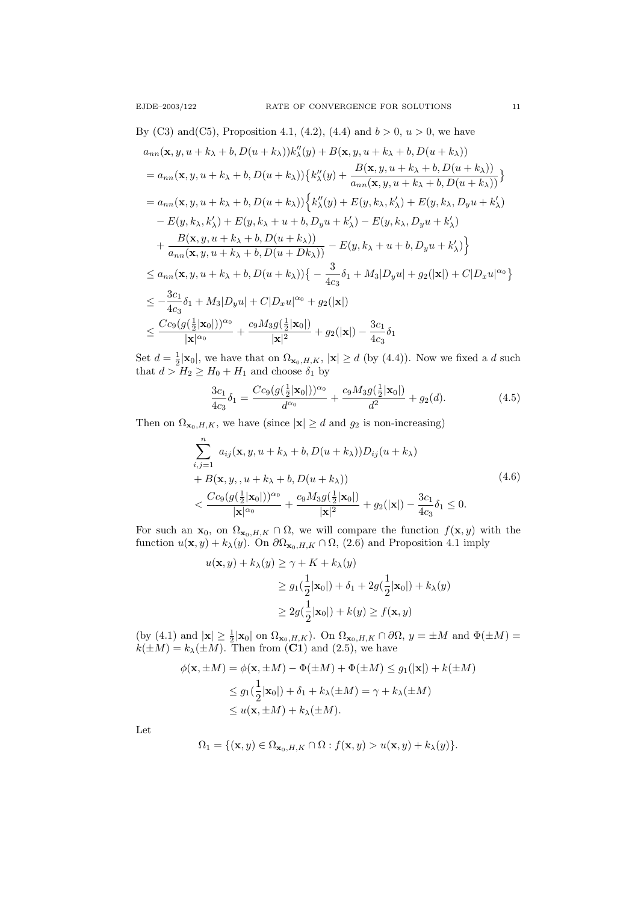$$
a_{nn}(\mathbf{x}, y, u + k_{\lambda} + b, D(u + k_{\lambda}))k_{\lambda}''(y) + B(\mathbf{x}, y, u + k_{\lambda} + b, D(u + k_{\lambda}))
$$
  
\n
$$
= a_{nn}(\mathbf{x}, y, u + k_{\lambda} + b, D(u + k_{\lambda}))\{k_{\lambda}''(y) + \frac{B(\mathbf{x}, y, u + k_{\lambda} + b, D(u + k_{\lambda}))}{a_{nn}(\mathbf{x}, y, u + k_{\lambda} + b, D(u + k_{\lambda}))}\}
$$
  
\n
$$
= a_{nn}(\mathbf{x}, y, u + k_{\lambda} + b, D(u + k_{\lambda}))\{k_{\lambda}''(y) + E(y, k_{\lambda}, k_{\lambda}') + E(y, k_{\lambda}, D_{y}u + k_{\lambda}') - E(y, k_{\lambda}, k_{\lambda}, D_{y}u + k_{\lambda}')\}
$$
  
\n
$$
- E(y, k_{\lambda}, k_{\lambda}') + E(y, k_{\lambda} + u + b, D_{y}u + k_{\lambda}') - E(y, k_{\lambda}, D_{y}u + k_{\lambda}') + \frac{B(\mathbf{x}, y, u + k_{\lambda} + b, D(u + k_{\lambda}))}{a_{nn}(\mathbf{x}, y, u + k_{\lambda} + b, D(u + Dk_{\lambda}))} - E(y, k_{\lambda} + u + b, D_{y}u + k_{\lambda}')\}
$$
  
\n
$$
\le a_{nn}(\mathbf{x}, y, u + k_{\lambda} + b, D(u + k_{\lambda}))\{-\frac{3}{4c_{3}}\delta_{1} + M_{3}|D_{y}u| + g_{2}(|\mathbf{x}|) + C|D_{x}u|^{\alpha_{0}}\}
$$
  
\n
$$
\le -\frac{3c_{1}}{4c_{3}}\delta_{1} + M_{3}|D_{y}u| + C|D_{x}u|^{\alpha_{0}} + g_{2}(|\mathbf{x}|)
$$
  
\n
$$
\le \frac{Cc_{9}(g(\frac{1}{2}|\mathbf{x}_{0}|))^{\alpha_{0}}}{|\mathbf{x}|^{\alpha_{0}}} + \frac{c_{9}M_{3}g(\frac{1}{2}|\mathbf{x}_{0}|)}{|\mathbf{x}|^{2}} + g_{2}(|\mathbf{x}|) - \frac{3c_{1}}{4c_{3}}\delta_{1}
$$

Set  $d = \frac{1}{2}|\mathbf{x}_0|$ , we have that on  $\Omega_{\mathbf{x}_0, H, K}$ ,  $|\mathbf{x}| \ge d$  (by (4.4)). Now we fixed a d such that  $d > H_2 \geq H_0 + H_1$  and choose  $\delta_1$  by

$$
\frac{3c_1}{4c_3}\delta_1 = \frac{Cc_9(g(\frac{1}{2}|\mathbf{x}_0|))^{\alpha_0}}{d^{\alpha_0}} + \frac{c_9M_3g(\frac{1}{2}|\mathbf{x}_0|)}{d^2} + g_2(d). \tag{4.5}
$$

Then on  $\Omega_{\mathbf{x}_0,H,K}$ , we have (since  $|\mathbf{x}| \geq d$  and  $g_2$  is non-increasing)

$$
\sum_{i,j=1}^{n} a_{ij}(\mathbf{x}, y, u + k_{\lambda} + b, D(u + k_{\lambda}))D_{ij}(u + k_{\lambda})
$$
\n
$$
+ B(\mathbf{x}, y, u + k_{\lambda} + b, D(u + k_{\lambda}))
$$
\n
$$
< \frac{Cc_9(g(\frac{1}{2}|\mathbf{x}_0|))^{\alpha_0}}{|\mathbf{x}|^{\alpha_0}} + \frac{c_9M_3g(\frac{1}{2}|\mathbf{x}_0|)}{|\mathbf{x}|^2} + g_2(|\mathbf{x}|) - \frac{3c_1}{4c_3}\delta_1 \leq 0.
$$
\n
$$
(4.6)
$$

For such an  $\mathbf{x}_0$ , on  $\Omega_{\mathbf{x}_0,H,K} \cap \Omega$ , we will compare the function  $f(\mathbf{x}, y)$  with the function  $u(\mathbf{x}, y) + k_\lambda(y)$ . On  $\partial \Omega_{\mathbf{x}_0, H, K} \cap \Omega$ , (2.6) and Proposition 4.1 imply

$$
u(\mathbf{x}, y) + k_{\lambda}(y) \ge \gamma + K + k_{\lambda}(y)
$$
  
\n
$$
\ge g_1(\frac{1}{2}|\mathbf{x}_0|) + \delta_1 + 2g(\frac{1}{2}|\mathbf{x}_0|) + k_{\lambda}(y)
$$
  
\n
$$
\ge 2g(\frac{1}{2}|\mathbf{x}_0|) + k(y) \ge f(\mathbf{x}, y)
$$

(by (4.1) and  $|\mathbf{x}| \geq \frac{1}{2} |\mathbf{x}_0|$  on  $\Omega_{\mathbf{x}_0, H, K}$ ). On  $\Omega_{\mathbf{x}_0, H, K} \cap \partial \Omega$ ,  $y = \pm M$  and  $\Phi(\pm M) =$  $k(\pm M) = k_{\lambda}(\pm M)$ . Then from (C1) and (2.5), we have

$$
\phi(\mathbf{x}, \pm M) = \phi(\mathbf{x}, \pm M) - \Phi(\pm M) + \Phi(\pm M) \le g_1(|\mathbf{x}|) + k(\pm M)
$$
  

$$
\le g_1(\frac{1}{2}|\mathbf{x}_0|) + \delta_1 + k_\lambda(\pm M) = \gamma + k_\lambda(\pm M)
$$
  

$$
\le u(\mathbf{x}, \pm M) + k_\lambda(\pm M).
$$

Let

$$
\Omega_1 = \{(\mathbf{x}, y) \in \Omega_{\mathbf{x}_0, H, K} \cap \Omega : f(\mathbf{x}, y) > u(\mathbf{x}, y) + k_{\lambda}(y)\}.
$$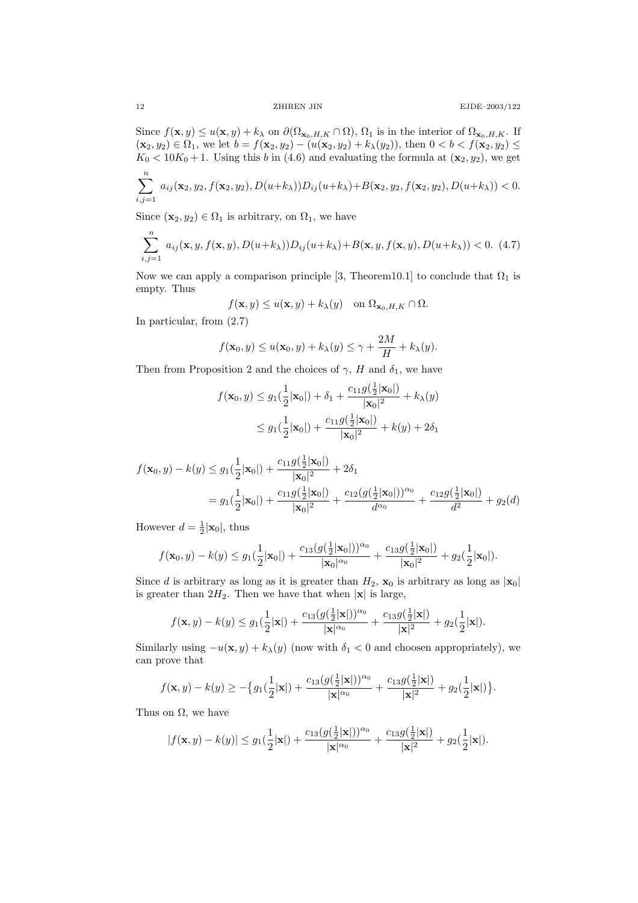Since  $f(\mathbf{x}, y) \leq u(\mathbf{x}, y) + k_{\lambda}$  on  $\partial(\Omega_{\mathbf{x}_0, H, K} \cap \Omega)$ ,  $\Omega_1$  is in the interior of  $\Omega_{\mathbf{x}_0, H, K}$ . If  $(x_2, y_2) \in \Omega_1$ , we let  $b = f(x_2, y_2) - (u(x_2, y_2) + k_\lambda(y_2))$ , then  $0 < b < f(x_2, y_2) \le$  $K_0 < 10K_0 + 1$ . Using this b in (4.6) and evaluating the formula at  $(\mathbf{x}_2, y_2)$ , we get

$$
\sum_{i,j=1}^n a_{ij}(\mathbf{x}_2,y_2,f(\mathbf{x}_2,y_2),D(u+k_\lambda))D_{ij}(u+k_\lambda)+B(\mathbf{x}_2,y_2,f(\mathbf{x}_2,y_2),D(u+k_\lambda))<0.
$$

Since  $(\mathbf{x}_2, y_2) \in \Omega_1$  is arbitrary, on  $\Omega_1$ , we have

$$
\sum_{i,j=1}^{n} a_{ij}(\mathbf{x}, y, f(\mathbf{x}, y), D(u+k_{\lambda})) D_{ij}(u+k_{\lambda}) + B(\mathbf{x}, y, f(\mathbf{x}, y), D(u+k_{\lambda})) < 0.
$$
 (4.7)

Now we can apply a comparison principle [3, Theorem10.1] to conclude that  $\Omega_1$  is empty. Thus

$$
f(\mathbf{x}, y) \le u(\mathbf{x}, y) + k_{\lambda}(y)
$$
 on  $\Omega_{\mathbf{x}_0, H, K} \cap \Omega$ .

In particular, from (2.7)

$$
f(\mathbf{x}_0, y) \le u(\mathbf{x}_0, y) + k_\lambda(y) \le \gamma + \frac{2M}{H} + k_\lambda(y).
$$

Then from Proposition 2 and the choices of  $\gamma$ , H and  $\delta_1$ , we have

$$
f(\mathbf{x}_0, y) \le g_1(\frac{1}{2}|\mathbf{x}_0|) + \delta_1 + \frac{c_{11}g(\frac{1}{2}|\mathbf{x}_0|)}{|\mathbf{x}_0|^2} + k_{\lambda}(y)
$$
  

$$
\le g_1(\frac{1}{2}|\mathbf{x}_0|) + \frac{c_{11}g(\frac{1}{2}|\mathbf{x}_0|)}{|\mathbf{x}_0|^2} + k(y) + 2\delta_1
$$

$$
f(\mathbf{x}_0, y) - k(y) \le g_1(\frac{1}{2}|\mathbf{x}_0|) + \frac{c_{11}g(\frac{1}{2}|\mathbf{x}_0|)}{|\mathbf{x}_0|^2} + 2\delta_1
$$
  
=  $g_1(\frac{1}{2}|\mathbf{x}_0|) + \frac{c_{11}g(\frac{1}{2}|\mathbf{x}_0|)}{|\mathbf{x}_0|^2} + \frac{c_{12}(g(\frac{1}{2}|\mathbf{x}_0|))^{\alpha_0}}{d^{\alpha_0}} + \frac{c_{12}g(\frac{1}{2}|\mathbf{x}_0|)}{d^2} + g_2(d)$ 

However  $d = \frac{1}{2}|\mathbf{x}_0|$ , thus

$$
f(\mathbf{x}_0, y) - k(y) \le g_1(\frac{1}{2}|\mathbf{x}_0|) + \frac{c_{13}(g(\frac{1}{2}|\mathbf{x}_0|))^{\alpha_0}}{|\mathbf{x}_0|^{\alpha_0}} + \frac{c_{13}g(\frac{1}{2}|\mathbf{x}_0|)}{|\mathbf{x}_0|^2} + g_2(\frac{1}{2}|\mathbf{x}_0|).
$$

Since d is arbitrary as long as it is greater than  $H_2$ ,  $\mathbf{x}_0$  is arbitrary as long as  $|\mathbf{x}_0|$ is greater than  $2H_2$ . Then we have that when  $|x|$  is large,

$$
f({\bf x},y)-k(y)\leq g_1(\frac{1}{2}|{\bf x}|)+\frac{c_{13}(g(\frac{1}{2}|{\bf x}|))^{\alpha_0}}{|{\bf x}|^{\alpha_0}}+\frac{c_{13}g(\frac{1}{2}|{\bf x}|)}{|{\bf x}|^2}+g_2(\frac{1}{2}|{\bf x}|).
$$

Similarly using  $-u(\mathbf{x}, y) + k_\lambda(y)$  (now with  $\delta_1 < 0$  and choosen appropriately), we can prove that

$$
f(\mathbf{x},y) - k(y) \geq -\big\{g_1(\frac{1}{2}|\mathbf{x}|) + \frac{c_{13}(g(\frac{1}{2}|\mathbf{x}|))^{\alpha_0}}{|\mathbf{x}|^{\alpha_0}} + \frac{c_{13}g(\frac{1}{2}|\mathbf{x}|)}{|\mathbf{x}|^2} + g_2(\frac{1}{2}|\mathbf{x}|)\big\}.
$$

Thus on  $\Omega$ , we have

$$
|f(\mathbf{x},y)-k(y)|\leq g_1(\frac{1}{2}|\mathbf{x}|)+\frac{c_{13}(g(\frac{1}{2}|\mathbf{x}|))^{\alpha_0}}{|\mathbf{x}|^{\alpha_0}}+\frac{c_{13}g(\frac{1}{2}|\mathbf{x}|)}{|\mathbf{x}|^2}+g_2(\frac{1}{2}|\mathbf{x}|).
$$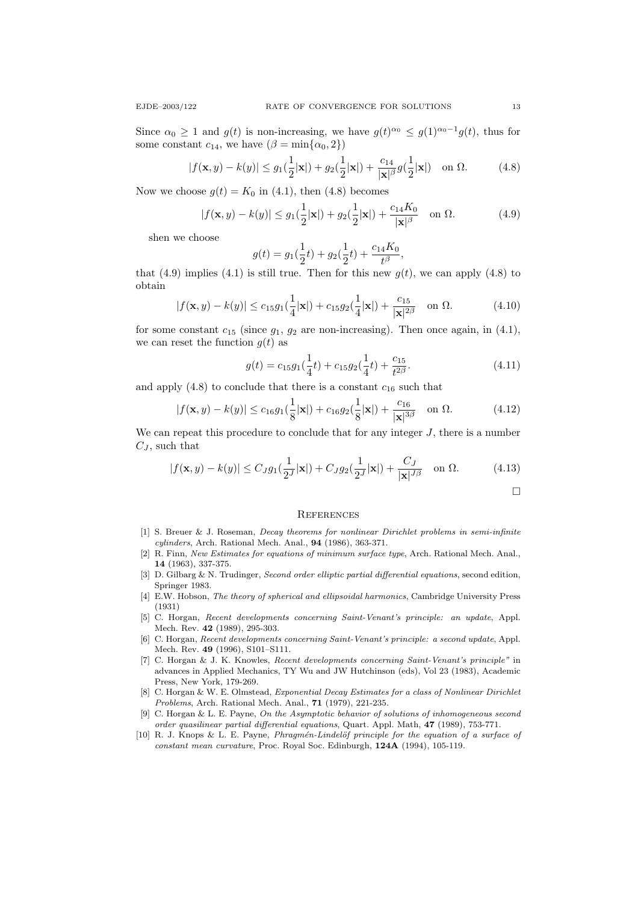Since  $\alpha_0 \geq 1$  and  $g(t)$  is non-increasing, we have  $g(t)^{\alpha_0} \leq g(1)^{\alpha_0-1}g(t)$ , thus for some constant  $c_{14}$ , we have  $(\beta = \min\{\alpha_0, 2\})$ 

$$
|f(\mathbf{x}, y) - k(y)| \le g_1(\frac{1}{2}|\mathbf{x}|) + g_2(\frac{1}{2}|\mathbf{x}|) + \frac{c_{14}}{|\mathbf{x}|^{\beta}} g(\frac{1}{2}|\mathbf{x}|) \quad \text{on } \Omega. \tag{4.8}
$$

Now we choose  $g(t) = K_0$  in (4.1), then (4.8) becomes

$$
|f(\mathbf{x}, y) - k(y)| \le g_1(\frac{1}{2}|\mathbf{x}|) + g_2(\frac{1}{2}|\mathbf{x}|) + \frac{c_{14}K_0}{|\mathbf{x}|^\beta} \text{ on } \Omega.
$$
 (4.9)

shen we choose

$$
g(t) = g_1(\frac{1}{2}t) + g_2(\frac{1}{2}t) + \frac{c_{14}K_0}{t^{\beta}},
$$

that (4.9) implies (4.1) is still true. Then for this new  $g(t)$ , we can apply (4.8) to obtain

$$
|f(\mathbf{x}, y) - k(y)| \le c_{15} g_1(\frac{1}{4}|\mathbf{x}|) + c_{15} g_2(\frac{1}{4}|\mathbf{x}|) + \frac{c_{15}}{|\mathbf{x}|^{2\beta}} \quad \text{on } \Omega.
$$
 (4.10)

for some constant  $c_{15}$  (since  $g_1$ ,  $g_2$  are non-increasing). Then once again, in (4.1), we can reset the function  $g(t)$  as

$$
g(t) = c_{15}g_1(\frac{1}{4}t) + c_{15}g_2(\frac{1}{4}t) + \frac{c_{15}}{t^{2\beta}}.
$$
\n(4.11)

and apply  $(4.8)$  to conclude that there is a constant  $c_{16}$  such that

$$
|f(\mathbf{x}, y) - k(y)| \le c_{16} g_1(\frac{1}{8}|\mathbf{x}|) + c_{16} g_2(\frac{1}{8}|\mathbf{x}|) + \frac{c_{16}}{|\mathbf{x}|^{3\beta}} \quad \text{on } \Omega.
$$
 (4.12)

We can repeat this procedure to conclude that for any integer  $J$ , there is a number  $C_J$ , such that

$$
|f(\mathbf{x}, y) - k(y)| \le C_J g_1(\frac{1}{2^J}|\mathbf{x}|) + C_J g_2(\frac{1}{2^J}|\mathbf{x}|) + \frac{C_J}{|\mathbf{x}|^{J\beta}} \quad \text{on } \Omega. \tag{4.13}
$$

 $\Box$ 

## **REFERENCES**

- [1] S. Breuer & J. Roseman, Decay theorems for nonlinear Dirichlet problems in semi-infinite cylinders, Arch. Rational Mech. Anal., 94 (1986), 363-371.
- [2] R. Finn, New Estimates for equations of minimum surface type, Arch. Rational Mech. Anal., 14 (1963), 337-375.
- [3] D. Gilbarg & N. Trudinger, Second order elliptic partial differential equations, second edition, Springer 1983.
- [4] E.W. Hobson, The theory of spherical and ellipsoidal harmonics, Cambridge University Press (1931)
- [5] C. Horgan, Recent developments concerning Saint-Venant's principle: an update, Appl. Mech. Rev. 42 (1989), 295-303.
- [6] C. Horgan, Recent developments concerning Saint-Venant's principle: a second update, Appl. Mech. Rev. 49 (1996), S101–S111.
- [7] C. Horgan & J. K. Knowles, Recent developments concerning Saint-Venant's principle" in advances in Applied Mechanics, TY Wu and JW Hutchinson (eds), Vol 23 (1983), Academic Press, New York, 179-269.
- [8] C. Horgan & W. E. Olmstead, Exponential Decay Estimates for a class of Nonlinear Dirichlet Problems, Arch. Rational Mech. Anal., 71 (1979), 221-235.
- [9] C. Horgan & L. E. Payne, On the Asymptotic behavior of solutions of inhomogeneous second order quasilinear partial differential equations, Quart. Appl. Math, 47 (1989), 753-771.
- $[10]$  R. J. Knops & L. E. Payne, *Phragmén-Lindelöf principle for the equation of a surface of* constant mean curvature, Proc. Royal Soc. Edinburgh, 124A (1994), 105-119.